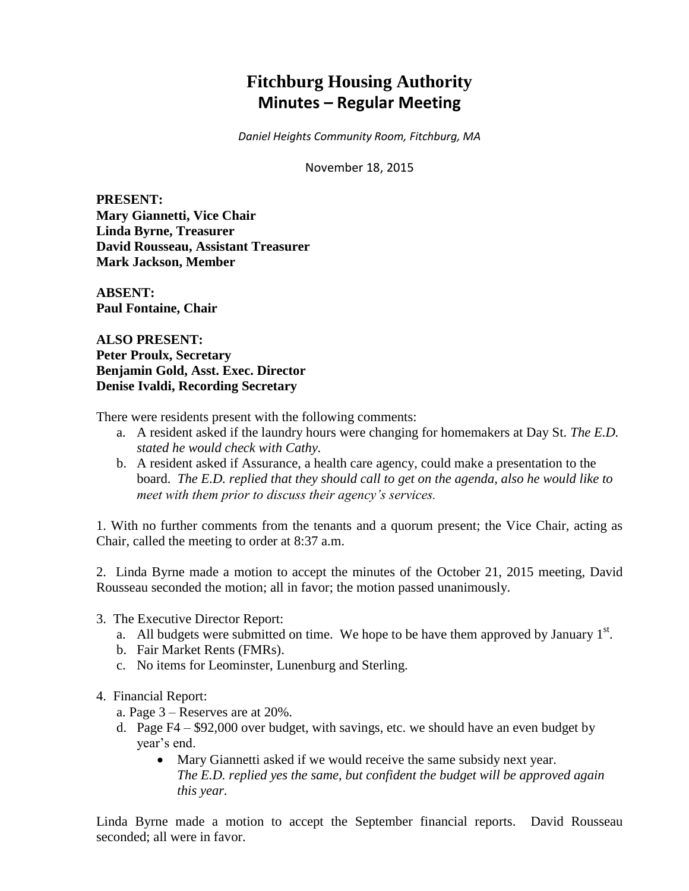# **Fitchburg Housing Authority Minutes – Regular Meeting**

*Daniel Heights Community Room, Fitchburg, MA*

November 18, 2015

**PRESENT: Mary Giannetti, Vice Chair Linda Byrne, Treasurer David Rousseau, Assistant Treasurer Mark Jackson, Member**

**ABSENT: Paul Fontaine, Chair** 

**ALSO PRESENT: Peter Proulx, Secretary Benjamin Gold, Asst. Exec. Director Denise Ivaldi, Recording Secretary**

There were residents present with the following comments:

- a. A resident asked if the laundry hours were changing for homemakers at Day St. *The E.D. stated he would check with Cathy.*
- b. A resident asked if Assurance, a health care agency, could make a presentation to the board. *The E.D. replied that they should call to get on the agenda, also he would like to meet with them prior to discuss their agency's services.*

1. With no further comments from the tenants and a quorum present; the Vice Chair, acting as Chair, called the meeting to order at 8:37 a.m.

2. Linda Byrne made a motion to accept the minutes of the October 21, 2015 meeting, David Rousseau seconded the motion; all in favor; the motion passed unanimously.

- 3. The Executive Director Report:
	- a. All budgets were submitted on time. We hope to be have them approved by January  $1<sup>st</sup>$ .
	- b. Fair Market Rents (FMRs).
	- c. No items for Leominster, Lunenburg and Sterling.
- 4. Financial Report:
	- a. Page 3 Reserves are at 20%.
	- d. Page F4 \$92,000 over budget, with savings, etc. we should have an even budget by year's end.
		- Mary Giannetti asked if we would receive the same subsidy next year. *The E.D. replied yes the same, but confident the budget will be approved again this year.*

Linda Byrne made a motion to accept the September financial reports. David Rousseau seconded; all were in favor.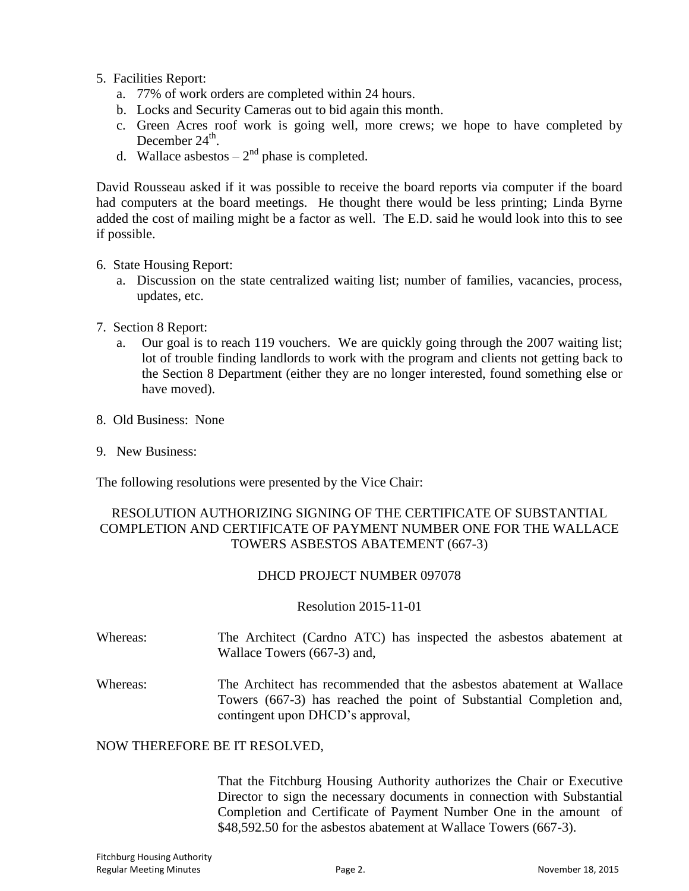- 5. Facilities Report:
	- a. 77% of work orders are completed within 24 hours.
	- b. Locks and Security Cameras out to bid again this month.
	- c. Green Acres roof work is going well, more crews; we hope to have completed by December  $24^{\text{th}}$ .
	- d. Wallace asbestos  $-2<sup>nd</sup>$  phase is completed.

David Rousseau asked if it was possible to receive the board reports via computer if the board had computers at the board meetings. He thought there would be less printing; Linda Byrne added the cost of mailing might be a factor as well. The E.D. said he would look into this to see if possible.

- 6. State Housing Report:
	- a. Discussion on the state centralized waiting list; number of families, vacancies, process, updates, etc.
- 7. Section 8 Report:
	- a. Our goal is to reach 119 vouchers. We are quickly going through the 2007 waiting list; lot of trouble finding landlords to work with the program and clients not getting back to the Section 8 Department (either they are no longer interested, found something else or have moved).
- 8. Old Business: None
- 9. New Business:

The following resolutions were presented by the Vice Chair:

# RESOLUTION AUTHORIZING SIGNING OF THE CERTIFICATE OF SUBSTANTIAL COMPLETION AND CERTIFICATE OF PAYMENT NUMBER ONE FOR THE WALLACE TOWERS ASBESTOS ABATEMENT (667-3)

## DHCD PROJECT NUMBER 097078

Resolution 2015-11-01

- Whereas: The Architect (Cardno ATC) has inspected the asbestos abatement at Wallace Towers (667-3) and,
- Whereas: The Architect has recommended that the asbestos abatement at Wallace Towers (667-3) has reached the point of Substantial Completion and, contingent upon DHCD's approval,

## NOW THEREFORE BE IT RESOLVED,

That the Fitchburg Housing Authority authorizes the Chair or Executive Director to sign the necessary documents in connection with Substantial Completion and Certificate of Payment Number One in the amount of \$48,592.50 for the asbestos abatement at Wallace Towers (667-3).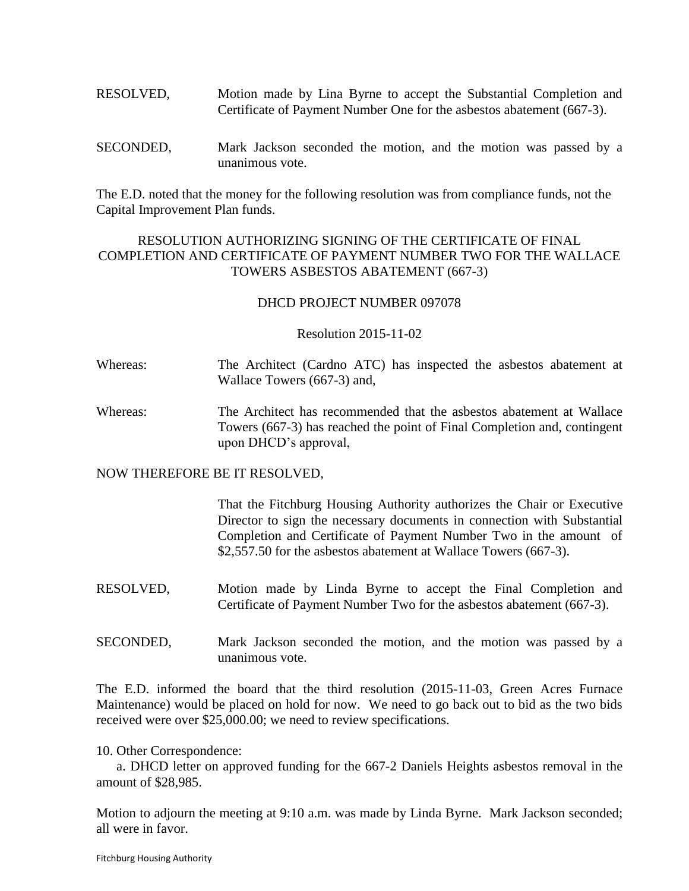| RESOLVED, | Motion made by Lina Byrne to accept the Substantial Completion and    |
|-----------|-----------------------------------------------------------------------|
|           | Certificate of Payment Number One for the asbestos abatement (667-3). |

SECONDED, Mark Jackson seconded the motion, and the motion was passed by a unanimous vote.

The E.D. noted that the money for the following resolution was from compliance funds, not the Capital Improvement Plan funds.

# RESOLUTION AUTHORIZING SIGNING OF THE CERTIFICATE OF FINAL COMPLETION AND CERTIFICATE OF PAYMENT NUMBER TWO FOR THE WALLACE TOWERS ASBESTOS ABATEMENT (667-3)

## DHCD PROJECT NUMBER 097078

## Resolution 2015-11-02

- Whereas: The Architect (Cardno ATC) has inspected the asbestos abatement at Wallace Towers (667-3) and,
- Whereas: The Architect has recommended that the asbestos abatement at Wallace Towers (667-3) has reached the point of Final Completion and, contingent upon DHCD's approval,

## NOW THEREFORE BE IT RESOLVED,

That the Fitchburg Housing Authority authorizes the Chair or Executive Director to sign the necessary documents in connection with Substantial Completion and Certificate of Payment Number Two in the amount of \$2,557.50 for the asbestos abatement at Wallace Towers (667-3).

- RESOLVED, Motion made by Linda Byrne to accept the Final Completion and Certificate of Payment Number Two for the asbestos abatement (667-3).
- SECONDED, Mark Jackson seconded the motion, and the motion was passed by a unanimous vote.

The E.D. informed the board that the third resolution (2015-11-03, Green Acres Furnace Maintenance) would be placed on hold for now. We need to go back out to bid as the two bids received were over \$25,000.00; we need to review specifications.

## 10. Other Correspondence:

a. DHCD letter on approved funding for the 667-2 Daniels Heights asbestos removal in the amount of \$28,985.

Motion to adjourn the meeting at 9:10 a.m. was made by Linda Byrne. Mark Jackson seconded; all were in favor.